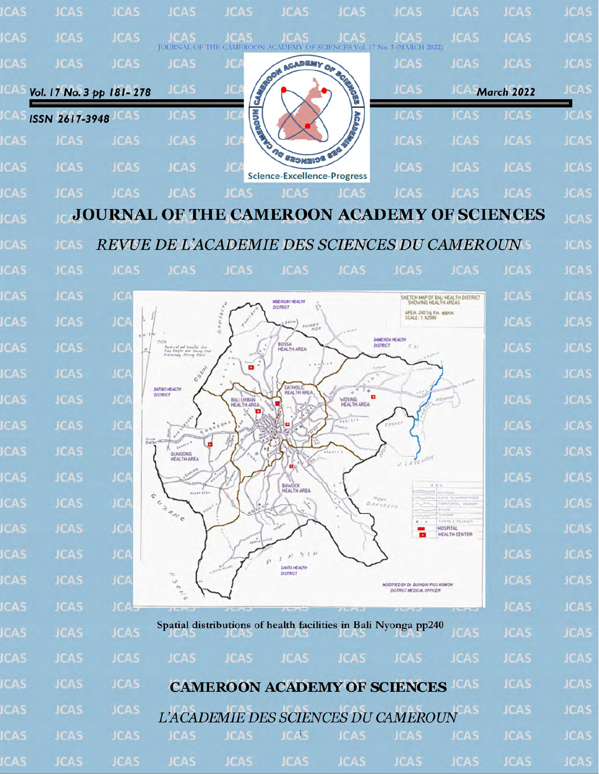|            | ICAS                     | JCAS                        | <b>JCAS</b>                                                                                   | ICAS                             | <b>ICAS</b>                                                  | JCA!                                      | ICA                                                                                                                                                                                                                                                                                                                                                                                                                                                                                                                             | <b>ICAS</b>                                                                          | JCAS              | JCAS        |
|------------|--------------------------|-----------------------------|-----------------------------------------------------------------------------------------------|----------------------------------|--------------------------------------------------------------|-------------------------------------------|---------------------------------------------------------------------------------------------------------------------------------------------------------------------------------------------------------------------------------------------------------------------------------------------------------------------------------------------------------------------------------------------------------------------------------------------------------------------------------------------------------------------------------|--------------------------------------------------------------------------------------|-------------------|-------------|
| CAS        | <b>JCAS</b>              | <b>JCAS</b>                 | ICAS                                                                                          | ICAS                             | ICAS                                                         | <b>ICAS</b>                               | <b>ICAS</b><br>JOURNAL OF THE CAMEROON ACADEMY OF SCIENCES Vol. 17 No. 3 (MARCH 2022)                                                                                                                                                                                                                                                                                                                                                                                                                                           | <b>JCAS</b>                                                                          | ICAS              | <b>JCAS</b> |
| CAS        | JCAS                     | <b>JCAS</b>                 | <b>JCAS</b>                                                                                   | 【图                               | COOM AGADEMY OF SCIENCE                                      |                                           | <b>JCAS</b>                                                                                                                                                                                                                                                                                                                                                                                                                                                                                                                     | <b>JCAS</b>                                                                          | <b>JCAS</b>       | <b>JCAS</b> |
| CA         | Vol. 17 No. 3 pp 181-278 |                             | <b>JCAS</b>                                                                                   |                                  |                                                              | CBS <sub>O</sub>                          | JCAS                                                                                                                                                                                                                                                                                                                                                                                                                                                                                                                            | JC                                                                                   | <b>March 2022</b> | <b>JCAS</b> |
|            | ISSN 2617-3948           |                             | ICAS                                                                                          | <b>INDOCATION</b>                |                                                              | AGAD                                      | JCA                                                                                                                                                                                                                                                                                                                                                                                                                                                                                                                             |                                                                                      |                   | JCAS        |
| CAS        | ICAS                     | JCAS                        | <b>JCAS</b>                                                                                   |                                  |                                                              | <b>CALLES</b>                             | <b>JCAS</b>                                                                                                                                                                                                                                                                                                                                                                                                                                                                                                                     | <b>JCAS</b>                                                                          | JCAS              | <b>JCAS</b> |
| CAS        | <b>JCAS</b>              | <b>JCAS</b>                 | <b>JCAS</b>                                                                                   | JC.                              | <b>DES SCIENCES DU</b><br><b>Science-Excellence-Progress</b> |                                           | <b>JCAS</b>                                                                                                                                                                                                                                                                                                                                                                                                                                                                                                                     | <b>JCAS</b>                                                                          | <b>ICAS</b>       | <b>JCAS</b> |
| CAS        | <b>JCAS</b>              | <b>JCAS</b>                 | <b>JCAS</b>                                                                                   | I C H                            |                                                              |                                           | <b>JCAS</b>                                                                                                                                                                                                                                                                                                                                                                                                                                                                                                                     | <b>JCAS</b>                                                                          | <b>JCAS</b>       | <b>JCAS</b> |
| CAS        |                          |                             |                                                                                               |                                  |                                                              |                                           | <b>JOURNAL OF THE CAMEROON ACADEMY OF SCIENCES</b>                                                                                                                                                                                                                                                                                                                                                                                                                                                                              |                                                                                      |                   | <b>JCAS</b> |
| CAS        | <b>JC</b>                |                             |                                                                                               |                                  |                                                              |                                           | REVUE DE L'ACADEMIE DES SCIENCES DU CAMEROUN S                                                                                                                                                                                                                                                                                                                                                                                                                                                                                  |                                                                                      |                   | <b>ICAS</b> |
| CAS        | <b>JCAS</b>              | <b>JCAS</b>                 | <b>JCAS</b>                                                                                   | <b>JCAS</b>                      | <b>JCAS</b>                                                  | ICAS                                      | ICAS                                                                                                                                                                                                                                                                                                                                                                                                                                                                                                                            | <b>JCAS</b>                                                                          | <b>ICAS</b>       | <b>JCAS</b> |
| CAS        | <b>JCAS</b>              | JC/                         |                                                                                               |                                  | <b>MSENGWI HEALTH</b><br><b>DISTRICT</b>                     |                                           | SHOWING HEALTH AREAS                                                                                                                                                                                                                                                                                                                                                                                                                                                                                                            | SKETCH MAP OF BALI HEALTH DISTRICT                                                   | <b>JCAS</b>       | <b>JCAS</b> |
| CAS        | <b>JCAS</b>              | JC/                         |                                                                                               |                                  | <b>Banu</b><br>$M_{HDE}^{BE}$                                |                                           | AREA: 240 Sq. Km. approx.<br><b>SCALE: 1: 62500</b>                                                                                                                                                                                                                                                                                                                                                                                                                                                                             |                                                                                      | <b>JCAS</b>       | <b>JCAS</b> |
| CAS        | <b>JCAS</b>              | $H$ ) $H$<br>JC.            | $x + t$<br>Redored and teapled from<br>Nan Kalift and Jorony Days<br>Preliningly Survey Place |                                  | <b>BOSSA</b><br><b>HEALTH AREA</b>                           |                                           | <b>BAKENDA HEALTH</b><br>DISTRICT<br>011                                                                                                                                                                                                                                                                                                                                                                                                                                                                                        |                                                                                      | <b>JCAS</b>       | <b>JCAS</b> |
| CAS        | <b>JCAS</b>              | JC/                         | $\gamma_{\rm A}$<br>$0^{\frac{C_2}{2}}$                                                       | m.                               | $5 - 3 = 14 + 2$                                             |                                           | . wheater                                                                                                                                                                                                                                                                                                                                                                                                                                                                                                                       |                                                                                      | <b>ICAS</b>       | <b>JCAS</b> |
| CAS        | <b>JCAS</b>              | JC/                         | <b>BATIBO HEALTH</b><br><b>DISTRICT</b>                                                       | <b>BALI URBAN</b><br>HEALTH AREA | CATHOLIC<br>HEALTH AREA<br>۸                                 | 9010<br>۰<br>WOSING<br><b>HEALTH AREA</b> |                                                                                                                                                                                                                                                                                                                                                                                                                                                                                                                                 | <b>Miterial</b>                                                                      | <b>JCAS</b>       | <b>JCAS</b> |
| CAS        | <b>JCAS</b>              | <b>JC</b>                   |                                                                                               |                                  |                                                              | *******                                   | CREMER                                                                                                                                                                                                                                                                                                                                                                                                                                                                                                                          |                                                                                      | JCAS              | <b>JCAS</b> |
| CAS        | JCAS                     | $f \mapsto m$<br>IC 7       | Service.<br>GUNGONG<br>HEALTH AREA                                                            |                                  | H                                                            |                                           | A LATENNE                                                                                                                                                                                                                                                                                                                                                                                                                                                                                                                       |                                                                                      | <b>JCAS</b>       | <b>JCAS</b> |
| CAS        | <b>JCAS</b>              | <b>JCA</b>                  | <b>Christian</b>                                                                              |                                  | 마련<br><b>BAWOCK</b><br>HEALTH AREA                           |                                           | 1.1.7                                                                                                                                                                                                                                                                                                                                                                                                                                                                                                                           |                                                                                      | <b>JCAS</b>       | <b>JCAS</b> |
| CAS        | <b>JCAS</b>              | $\mathcal{L}$<br><b>JCA</b> | HJABI STON<br><b>LANG</b>                                                                     |                                  | ×                                                            |                                           | <b>CONTRACTOR</b> INSTRUCTION<br>Maun<br>BAFERENE<br>$\frac{1}{2} \left( \frac{1}{2} \right) \left( \frac{1}{2} \right) \left( \frac{1}{2} \right) \left( \frac{1}{2} \right) \left( \frac{1}{2} \right) \left( \frac{1}{2} \right) \left( \frac{1}{2} \right) \left( \frac{1}{2} \right) \left( \frac{1}{2} \right) \left( \frac{1}{2} \right) \left( \frac{1}{2} \right) \left( \frac{1}{2} \right) \left( \frac{1}{2} \right) \left( \frac{1}{2} \right) \left( \frac{1}{2} \right) \left( \frac{1}{2} \right) \left( \frac$ | DADKES   FALM TO MARKE HOAD<br><b>CARL TURTOUL SOUNDRY</b><br><b>BYVER</b><br>STREAM | <b>JCAS</b>       | <b>JCAS</b> |
| CAS        | <b>JCAS</b>              | <b>JCA</b>                  |                                                                                               | <b>KSPF</b>                      |                                                              |                                           | $8 - 8$<br>o                                                                                                                                                                                                                                                                                                                                                                                                                                                                                                                    | <b>ROWING &amp; VISUAGES</b><br><b>HOSPITAL</b><br>HEALTH CENTER                     | <b>JCAS</b>       | <b>JCAS</b> |
| CAS        | <b>JCAS</b>              | <b>JCA</b>                  |                                                                                               | <b>ATIN FILAND</b>               | N Y I N<br>P<br>SANTA HEALTH                                 |                                           |                                                                                                                                                                                                                                                                                                                                                                                                                                                                                                                                 |                                                                                      | <b>JCAS</b>       | <b>JCAS</b> |
| CAS        | <b>JCAS</b>              | <b>JCA</b>                  | TO.<br>S<br>$\circ$<br>ч.                                                                     |                                  | <b>DISTRICT</b>                                              |                                           | MODIFIED BY Dr. BIJINGNI PIUS KUWOH<br>DISTRICT MEDICAL OFFICER                                                                                                                                                                                                                                                                                                                                                                                                                                                                 |                                                                                      | <b>JCAS</b>       | <b>JCAS</b> |
| CAS        | <b>JCAS</b>              | ICA <sub>T</sub>            | $\mathfrak{S}$<br><b>TOMAS</b>                                                                | <b>DISPERT</b>                   | <b>DELL'AD</b>                                               | <b>PASTAR</b>                             |                                                                                                                                                                                                                                                                                                                                                                                                                                                                                                                                 | $\mathbf{r}$                                                                         | <b>JCAS</b>       | <b>JCAS</b> |
| <b>CAS</b> | <b>JCAS</b>              | <b>JCAS</b>                 |                                                                                               |                                  |                                                              |                                           | Spatial distributions of health facilities in Bali Nyonga pp240                                                                                                                                                                                                                                                                                                                                                                                                                                                                 | <b>JCAS</b>                                                                          | <b>JCAS</b>       | <b>JCAS</b> |
| CAS        | <b>JCAS</b>              | <b>JCAS</b>                 | <b>JCAS</b>                                                                                   | <b>JCAS</b>                      | <b>JCAS</b>                                                  | <b>JCAS</b>                               | <b>JCAS</b>                                                                                                                                                                                                                                                                                                                                                                                                                                                                                                                     | <b>JCAS</b>                                                                          | <b>JCAS</b>       | <b>JCAS</b> |
| CAS        | <b>JCAS</b>              | <b>JCAS</b>                 |                                                                                               |                                  |                                                              |                                           | <b>CAMEROON ACADEMY OF SCIENCES</b>                                                                                                                                                                                                                                                                                                                                                                                                                                                                                             | <b>JCAS</b>                                                                          | <b>JCAS</b>       | <b>JCAS</b> |
| CAS        | <b>JCAS</b>              | <b>JCAS</b>                 |                                                                                               |                                  |                                                              |                                           | L'ACADEMIE DES SCIENCES DU CAMEROUN                                                                                                                                                                                                                                                                                                                                                                                                                                                                                             | ĻCAS                                                                                 | <b>JCAS</b>       | <b>JCAS</b> |
| CAS        | <b>JCAS</b>              | <b>JCAS</b>                 | <b>JCAS</b>                                                                                   | <b>JCAS</b>                      | <b>JCAS</b>                                                  | <b>JCAS</b>                               | <b>JCAS</b>                                                                                                                                                                                                                                                                                                                                                                                                                                                                                                                     | <b>JCAS</b>                                                                          | <b>JCAS</b>       | <b>JCAS</b> |
|            | <b>ICAS</b>              | <b>ICAS</b>                 | <b>ICAS</b>                                                                                   | <b>JCAS</b>                      | <b>ICAS</b>                                                  | <b>ICAS</b>                               | <b>ICAS</b>                                                                                                                                                                                                                                                                                                                                                                                                                                                                                                                     | <b>JCAS</b>                                                                          | <b>ICAS</b>       | <b>ICAS</b> |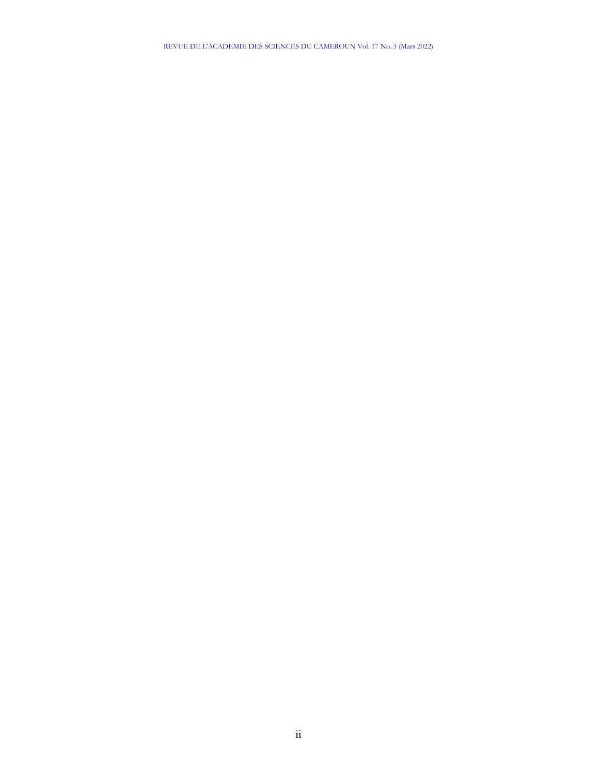REVUE DE L'ACADEMIE DES SCIENCES DU CAMEROUN Vol. 17 No. 3 (Mars 2022)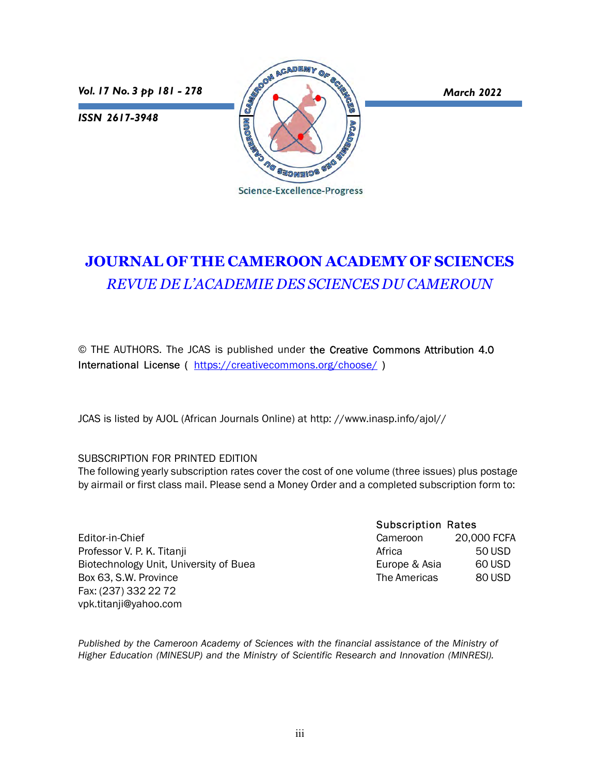Vol. 17 No. 3 pp 181 - 278

ISSN 2617-3948



March 2022

# JOURNAL OF THE CAMEROON ACADEMY OF SCIENCES REVUE DE L'ACADEMIE DES SCIENCES DU CAMEROUN

© THE AUTHORS. The JCAS is published under the Creative Commons Attribution 4.0 International License ( https://creativecommons.org/choose/ )

JCAS is listed by AJOL (African Journals Online) at http: //www.inasp.info/ajol//

#### SUBSCRIPTION FOR PRINTED EDITION

The following yearly subscription rates cover the cost of one volume (three issues) plus postage by airmail or first class mail. Please send a Money Order and a completed subscription form to:

Editor-in-Chief Professor V. P. K. Titanji Biotechnology Unit, University of Buea Box 63, S.W. Province **The Americas** 80 USD Fax: (237) 332 22 72 vpk.titanji@yahoo.com

| <b>Subscription Rates</b> |             |
|---------------------------|-------------|
| Cameroon                  | 20,000 FCFA |
| Africa                    | 50 USD      |
| Europe & Asia             | 60 USD      |
| The American              | 00110D      |

Published by the Cameroon Academy of Sciences with the financial assistance of the Ministry of Higher Education (MINESUP) and the Ministry of Scientific Research and Innovation (MINRESI).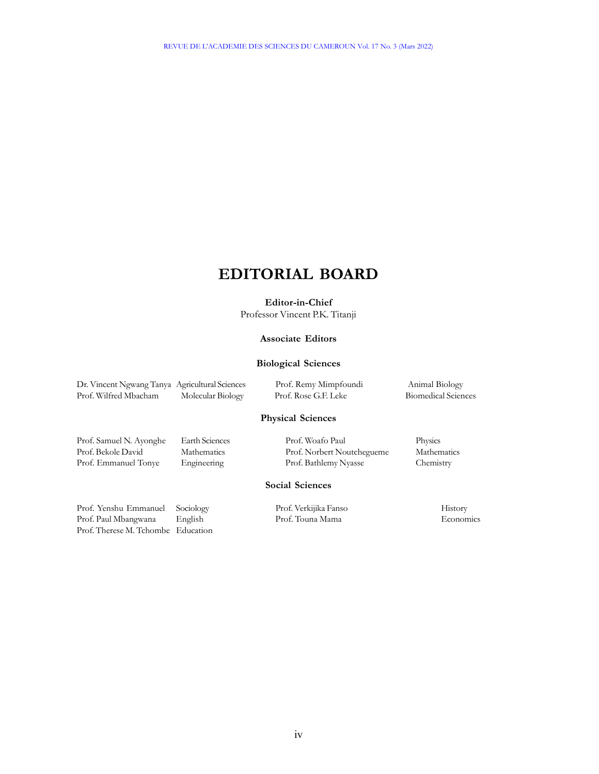# EDITORIAL BOARD

#### Editor-in-Chief

Professor Vincent P.K. Titanji

#### Associate Editors

#### Biological Sciences

| Dr. Vincent Ngwang Tanya Agricultural Sciences | Molecular Biology | Prof. Remy Mimpfoundi      | Animal Biology             |
|------------------------------------------------|-------------------|----------------------------|----------------------------|
| Prof. Wilfred Mbacham                          |                   | Prof. Rose G.F. Leke       | <b>Biomedical Sciences</b> |
|                                                |                   | <b>Physical Sciences</b>   |                            |
| Prof. Samuel N. Ayonghe                        | Earth Sciences    | Prof. Woafo Paul           | Physics                    |
| Prof. Bekole David                             | Mathematics       | Prof. Norbert Noutchegueme | Mathematics                |
| Prof. Emmanuel Tonye                           | Engineering       | Prof. Bathlemy Nyasse      | Chemistry                  |
|                                                |                   | <b>Social Sciences</b>     |                            |
| Prof. Yenshu Emmanuel                          | Sociology         | Prof. Verkijika Fanso      | History                    |
| Prof. Paul Mbangwana                           | English           | Prof. Touna Mama           | Economics                  |

Prof. Paul Mbangwana Prof. Therese M. Tchombe Education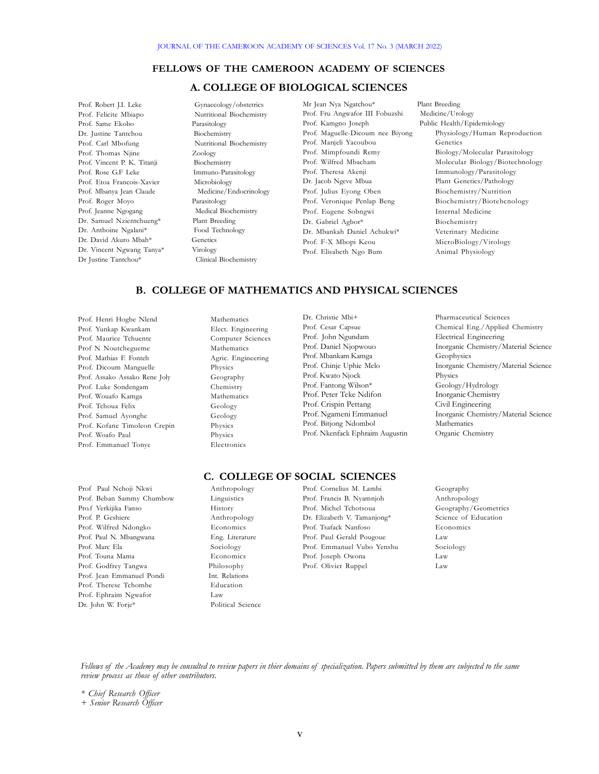# FELLOWS OF THE CAMEROON ACADEMY OF SCIENCES

### A. COLLEGE OF BIOLOGICAL SCIENCES

Prof. Robert J.I. Leke Gynaecology/obstetrics Prof. Same Ekobo Dr. Justine Tantchou Biochemistry Prof. Carl Mbofung Nutritional Biochemistry Prof. Thomas Njine Zoology<br>Prof. Vincent P. K. Titanji Biochemistry Prof. Vincent P. K. Titanji<br>Prof. Rose G.F Leke Prof. Etoa Francois-Xavier Microbiology Prof. Mbanya Jean Claude Medicine/Endocrinology Prof. Roger Moyo Parasitology Prof. Jeanne Ngogang Medical Biochemistry Dr. Samuel Nzientchueng\* Plant Breeding Dr. Anthoine Ngalani\* Dr. David Akuro Mbah\* Genetics Dr. Vincent Ngwang Tanya\* Virology Dr Justine Tantchou\*

Nutritional Biochemistry<br>Parasitology Immuno-Parasitology

Mr Jean Nya Ngatchou\* Plant Breeding<br>Prof. Fru Angwafor III Fobuzshi Medicine/Urology Prof. Fru Angwafor III Fobuzshi Prof. Kamgno Joseph Public Health/Epidemiology Prof. Manjeli Yacoubou Genetics Prof. Mimpfoundi Remy Biology/Molecular Parasitology Prof. Theresa Akenji Immunology/Parasitology Dr. Jacob Ngeve Mbua Plant Genetics/Pathology Prof. Julius Eyong Oben Biochemistry/Nutrition Prof. Veronique Penlap Beng Biochemistry/Biotehcnology Prof. Eugene Sobngwi Internal Medicine Dr. Gabriel Agbor\* Biochemistry Dr. Mbankah Daniel Achukwi\* Veterinary Medicine Prof. F-X Mbopi Keou MicroBiology/Virology Prof. Elisabeth Ngo Bum Animal Physiology

Prof. Maguelle-Dicoum nee Biyong Physiology/Human Reproduction Prof. Wilfred Mbacham Molecular Biology/Biotechnology

#### B. COLLEGE OF MATHEMATICS AND PHYSICAL SCIENCES

Prof. Henri Hogbe Nlend Mathematics<br>Prof. Yunkap Kwankam Helect. Engineering Prof. Yunkap Kwankam Prof. Maurice Tchuente Computer Sciences Prof N Noutchegueme Mathematics Prof. Mathias F. Fonteh Agric. Engineering Prof. Dicoum Manguelle Physics Prof. Assako Assako Rene Joly Geography Prof. Luke Sondengam Chemistry Prof. Wouafo Kamga Mathematics Prof. Tchoua Felix Geology Prof. Samuel Ayonghe Geology Prof. Kofane Timoleon Crepin Physics Prof. Woafo Paul Physics Prof. Emmanuel Tonye Electronics

Prof. John Ngundam Electrical Engineering Prof. Mbankam Kamga Geophysics Prof. Kwato Njock Physics Prof. Fantong Wilson\* Geology/Hydrology Prof. Peter Teke Ndifon Inorganic Chemistry Prof. Crispin Pettang Civil Engineering Prof. Bitjong Ndombol Mathematics Prof. Nkenfack Ephraim Augustin Organic Chemistry

# Dr. Christie Mbi+ Pharmaceutical Sciences Prof. Cesar Capsue Chemical Eng./Applied Chemistry Prof. Daniel Njopwouo Inorganic Chemistry/Material Science Prof. Chinje Uphie Melo Inorganic Chemistry/Material Science Inorganic Chemistry/Material Science

#### C. COLLEGE OF SOCIAL SCIENCES

Prof Paul Nchoji Nkwi Anthropology Prof. Beban Sammy Chumbow Linguistics Pro.f Verkijika Fanso History Prof. P. Geshiere Anthropology Prof. Wilfred Ndongko Economics Prof. Paul N. Mbangwana Eng. Literature Prof. Marc Ela Sociology Prof. Touna Mama Beonomics<br>Prof. Godfrey Tangwa Philosophy Prof. Godfrey Tangwa Prof. Jean Emmanuel Pondi Int. Relations Prof. Therese Tchombe Education Prof. Ephraim Ngwafor Law Dr. John W. Forje\* Political Science

Prof. Cornelius M. Lambi Geography Prof. Francis B. Nyamnjoh Anthropology Prof. Michel Tchotsoua Geography/Geometrics Dr. Elizabeth V. Tamanjong\* Science of Education Prof. Tsafack Nanfoso Economics Prof. Paul Gerald Pougoue Law Prof. Emmanuel Vubo Yenshu Sociology Prof. Joseph Owona Law Prof. Olivier Ruppel Law

Fellows of the Academy may be consulted to review papers in thier domains of specialization. Papers submitted by them are subjected to the same review process as those of other contributors.

\* Chief Research Officer

+ Senior Research Officer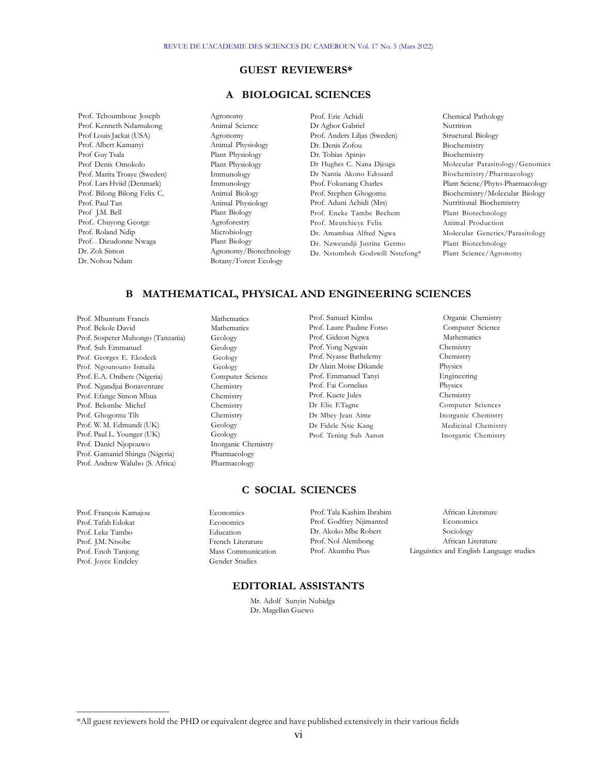#### GUEST REVIEWERS\*

#### A BIOLOGICAL SCIENCES

Prof. Tchoumboue Joseph Agronomy Prof. Kenneth Ndamukong Animal Science Prof Louis Jackai (USA) Agronomy Prof. Albert Kamanyi Animal Physiology Prof Guy Tsala Plant Physiology<br>Prof Denis Omokolo Plant Physiology Prof Denis Omokolo Prof. Marita Troaye (Sweden) Immunology Prof. Lars Hviid (Denmark) Immunology Prof. Bilong Bilong Felix C. Animal Biology Prof. Paul Tan Animal Physiology Prof J.M. Bell Plant Biology Prof.. Chuyong George Agroforestry Prof. Roland Ndip Microbiology Prof. . Dieudonne Nwaga Plant Biology Dr. Zok Simon Agronomy/Biotechnology Dr. Nohou Ndam Botany/Forest Ecology

Prof. Eric Achidi Chemical Pathology Dr Agbor Gabriel Nutrition Prof. Anders Liljas (Sweden) Dr. Denis Zofou Biochemistry Dr. Tobias Apinjo Biochemistry Dr Hughes C. Nana Djeuga Molecular Parasitology/Genomics Dr Nantia Akono Edouard Biochemistry/Pharmacology Prof. Fokunang Charles Plant Scienc/Phyto-Pharmacology Prof. Stephen Ghogomu Biochemistry/Molecular Biology Prof. Aduni Achidi (Mrs) Nutritional Biochemistry Prof. Eneke Tambe Bechem Plant Biotechnology Prof. Meutchieye Felix Animal Production Dr. Amambua Alfred Ngwa Molecular Genetics/Parasitology Dr. Nzweundji Justine Germo Plant Biotechnology Dr. Nstomboh Godswill Nstefong\* Plant Science/Agronomy

#### B MATHEMATICAL, PHYSICAL AND ENGINEERING SCIENCES

Prof. Mbuntum Francis Mathematics Prof. Bekole David Mathematics Prof. Sospeter Muhongo (Tanzania) Geology Prof. Suh Emmanuel Geology Prof. Georges E. Ekodeck Geology Prof. Ngounouno Ismaila Geology Prof. E.A. Onibere (Nigeria) Computer Science Prof. Ngandjui Bonaventure Chemistry Prof. Efange Simon Mbua Chemistry Prof. Belombe Michel Chemistry Prof. Ghogomu Tih Chemistry Prof. W. M. Edmundi (UK) Geology Prof. Paul L. Younger (UK) Geology Prof. Daniel Njopouwo Inorganic Chemistry Prof. Gamaniel Shingu (Nigeria) Pharmacology Prof. Andrew Walubo (S. Africa) Pharmacology

Prof. Samuel Kimbu Organic Chemistry Prof. Laure Pauline Fotso Computer Science Prof. Gideon Ngwa Mathematics Prof. Yong Ngwain Chemistry Prof. Nyasse Bathelemy Chemistry Dr Alain Moise Dikande Physics Prof. Emmanuel Tanyi Engineering Prof. Fai Cornelius Physics Prof. Kuete Jules Chemistry Dr Elie F.Tagne Computer Sciences Dr Mbey Jean Aime Inorganic Chemistry Dr Fidele Ntie Kang Medicinal Chemistry Prof. Tening Suh Aaron Inorganic Chemistry

#### C SOCIAL SCIENCES

Prof. François Kamajou Economics Prof. Tafah Edokat Economics Prof. Leke Tambo Education Prof. J.M. Ntsobe French Literature Prof. Enoh Tanjong Mass Communication Prof. Joyce Endeley Gender Studies

\_\_\_\_\_\_\_\_\_\_\_\_\_\_\_\_\_\_\_

Prof. Godfrey Njimanted Economics Dr. Akoko Mbe Robert Sociology Prof. Nol Alembong African Literature

Prof. Tala Kashim Ibrahim African Literature Prof. Akumbu Pius Linguistics and English Language studies

#### EDITORIAL ASSISTANTS

Mr. Adolf Sunyin Nubidga Dr. Magellan Guewo

<sup>\*</sup>All guest reviewers hold the PHD or equivalent degree and have published extensively in their various fields